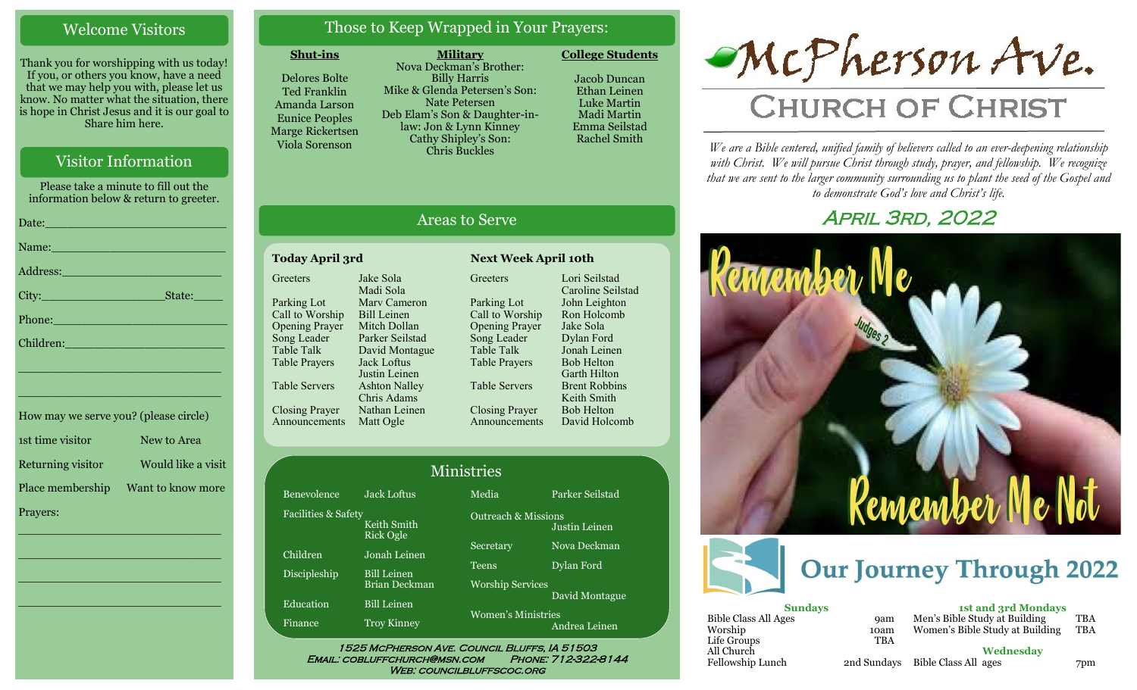### Welcome Visitors

Thank you for worshipping with us today! If you, or others you know, have a need that we may help you with, please let us know. No matter what the situation, there is hope in Christ Jesus and it is our goal to Share him here.

### Visitor Information

Please take a minute to fill out the information below & return to greeter.

| Name: Name and the second state of the second state of the second state of the second state of the second state of the second state of the second state of the second state of the second state of the second state of the sec |
|--------------------------------------------------------------------------------------------------------------------------------------------------------------------------------------------------------------------------------|
| Address: 2008 and 2008 and 2008 and 2008 and 2008 and 2008 and 2008 and 2008 and 2008 and 2008 and 2008 and 20                                                                                                                 |
|                                                                                                                                                                                                                                |
| Phone: 2008 2010 2020 2020 2020 2020 2021 2022 2021 2022 2021 2022 2022 2021 2022 2021 2021 2022 2021 2021 20                                                                                                                  |
| Children: New York Children:                                                                                                                                                                                                   |
|                                                                                                                                                                                                                                |

| How may we serve you? (please circle) |                    |
|---------------------------------------|--------------------|
| 1st time visitor                      | New to Area        |
| Returning visitor                     | Would like a visit |
| Place membership                      | Want to know more  |
| Prayers:                              |                    |

\_\_\_\_\_\_\_\_\_\_\_\_\_\_\_\_\_\_\_\_\_\_\_\_\_\_\_\_

\_\_\_\_\_\_\_\_\_\_\_\_\_\_\_\_\_\_\_\_\_\_\_\_\_\_\_\_

\_\_\_\_\_\_\_\_\_\_\_\_\_\_\_\_\_\_\_\_\_\_\_\_\_\_\_\_

\_\_\_\_\_\_\_\_\_\_\_\_\_\_\_\_\_\_\_\_\_\_\_\_\_\_\_\_

\_\_\_\_\_\_\_\_\_\_\_\_\_\_\_\_\_\_\_\_\_\_\_\_\_\_\_\_

## Those to Keep Wrapped in Your Prayers:

#### **Shut-ins**

Delores Bolte Ted Franklin Amanda Larson Eunice Peoples Marge Rickertsen Viola Sorenson

**Military** Nova Deckman's Brother: Billy Harris Mike & Glenda Petersen's Son: Nate Petersen Deb Elam's Son & Daughter-inlaw: Jon & Lynn Kinney Cathy Shipley's Son: Chris Buckles

Jacob Duncan Ethan Leinen Luke Martin Madi Martin Emma Seilstad

Rachel Smith

**College Students** 



#### **Today April 3rd Next Week April 10th**

**Greeters** Parking Lot Call to Worship Opening Prayer Song Leader Table Talk Table Prayers Table Servers Closing Prayer Announcements Matt Ogle Jake Sola Madi Sola Marv Cameron Bill Leinen Mitch Dollan Parker Seilstad David Montague Jack Loftus Justin Leinen Ashton Nalley Chris Adams Nathan Leinen

**Greeters** Parking Lot Call to Worship Opening Prayer Song Leader Table Talk Table Prayers Table Servers Closing Prayer Announcements Lori Seilstad Caroline Seilstad John Leighton Ron Holcomb Jake Sola Dylan Ford Jonah Leinen Bob Helton Garth Hilton Brent Robbins Keith Smith Bob Helton David Holcomb

| Ministries          |                                     |                                                 |                 |  |
|---------------------|-------------------------------------|-------------------------------------------------|-----------------|--|
| Benevolence         | <b>Jack Loftus</b>                  | Media                                           | Parker Seilstad |  |
| Facilities & Safety | Keith Smith<br><b>Rick Ogle</b>     | <b>Outreach &amp; Missions</b><br>Justin Leinen |                 |  |
| Children            | Jonah Leinen                        | Secretary                                       | Nova Deckman    |  |
| Discipleship        | <b>Bill Leinen</b>                  | Teens                                           | Dylan Ford      |  |
| Education           | Brian Deckman<br><b>Bill Leinen</b> | <b>Worship Services</b>                         | David Montague  |  |
| Finance             | <b>Troy Kinney</b>                  | Women's Ministries<br>Andrea Leinen             |                 |  |

#### 1525 McPherson Ave. Council Bluffs, IA 51503 Email: cobluffchurch@msn.com Phone: 712-322-8144 WEB: COUNCILBLUFFSCOC.ORG



# **CHURCH OF CHRIST**

*We are a Bible centered, unified family of believers called to an ever-deepening relationship*  with Christ. We will pursue Christ through study, prayer, and fellowship. We recognize *that we are sent to the larger community surrounding us to plant the seed of the Gospel and to demonstrate God's love and Christ's life.*

# April 3rd, 2022





Fellowship Lunch 2nd Sundays

Life Groups All Church

# **1st and 3rd Mondays**

Bible Class All Ages 9am Worship 10am<br>Life Groups TBA Men's Bible Study at Building TBA<br>Women's Bible Study at Building TBA Women's Bible Study at Building

> **Wednesday** Bible Class All ages 7pm